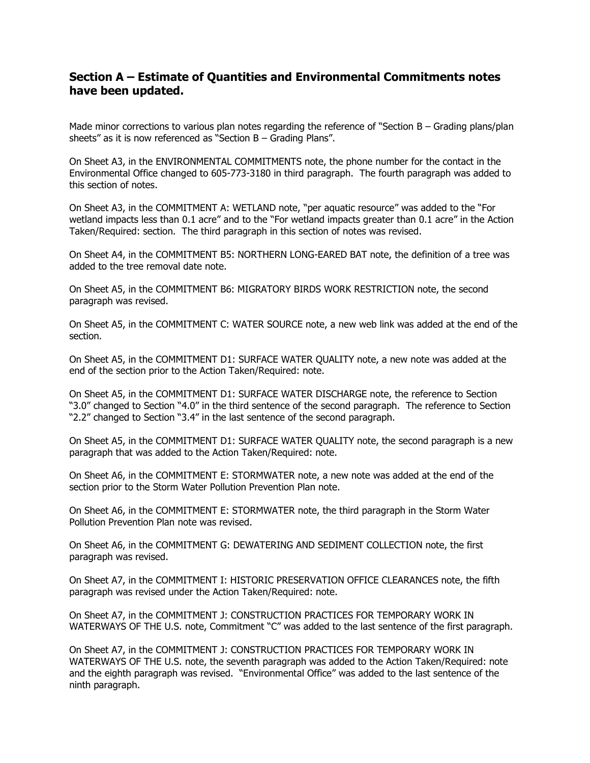## **Section A – Estimate of Quantities and Environmental Commitments notes have been updated.**

Made minor corrections to various plan notes regarding the reference of "Section B - Grading plans/plan sheets" as it is now referenced as "Section B – Grading Plans".

On Sheet A3, in the ENVIRONMENTAL COMMITMENTS note, the phone number for the contact in the Environmental Office changed to 605-773-3180 in third paragraph. The fourth paragraph was added to this section of notes.

On Sheet A3, in the COMMITMENT A: WETLAND note, "per aquatic resource" was added to the "For wetland impacts less than 0.1 acre" and to the "For wetland impacts greater than 0.1 acre" in the Action Taken/Required: section. The third paragraph in this section of notes was revised.

On Sheet A4, in the COMMITMENT B5: NORTHERN LONG-EARED BAT note, the definition of a tree was added to the tree removal date note.

On Sheet A5, in the COMMITMENT B6: MIGRATORY BIRDS WORK RESTRICTION note, the second paragraph was revised.

On Sheet A5, in the COMMITMENT C: WATER SOURCE note, a new web link was added at the end of the section.

On Sheet A5, in the COMMITMENT D1: SURFACE WATER QUALITY note, a new note was added at the end of the section prior to the Action Taken/Required: note.

On Sheet A5, in the COMMITMENT D1: SURFACE WATER DISCHARGE note, the reference to Section "3.0" changed to Section "4.0" in the third sentence of the second paragraph. The reference to Section "2.2" changed to Section "3.4" in the last sentence of the second paragraph.

On Sheet A5, in the COMMITMENT D1: SURFACE WATER QUALITY note, the second paragraph is a new paragraph that was added to the Action Taken/Required: note.

On Sheet A6, in the COMMITMENT E: STORMWATER note, a new note was added at the end of the section prior to the Storm Water Pollution Prevention Plan note.

On Sheet A6, in the COMMITMENT E: STORMWATER note, the third paragraph in the Storm Water Pollution Prevention Plan note was revised.

On Sheet A6, in the COMMITMENT G: DEWATERING AND SEDIMENT COLLECTION note, the first paragraph was revised.

On Sheet A7, in the COMMITMENT I: HISTORIC PRESERVATION OFFICE CLEARANCES note, the fifth paragraph was revised under the Action Taken/Required: note.

On Sheet A7, in the COMMITMENT J: CONSTRUCTION PRACTICES FOR TEMPORARY WORK IN WATERWAYS OF THE U.S. note, Commitment "C" was added to the last sentence of the first paragraph.

On Sheet A7, in the COMMITMENT J: CONSTRUCTION PRACTICES FOR TEMPORARY WORK IN WATERWAYS OF THE U.S. note, the seventh paragraph was added to the Action Taken/Required: note and the eighth paragraph was revised. "Environmental Office" was added to the last sentence of the ninth paragraph.